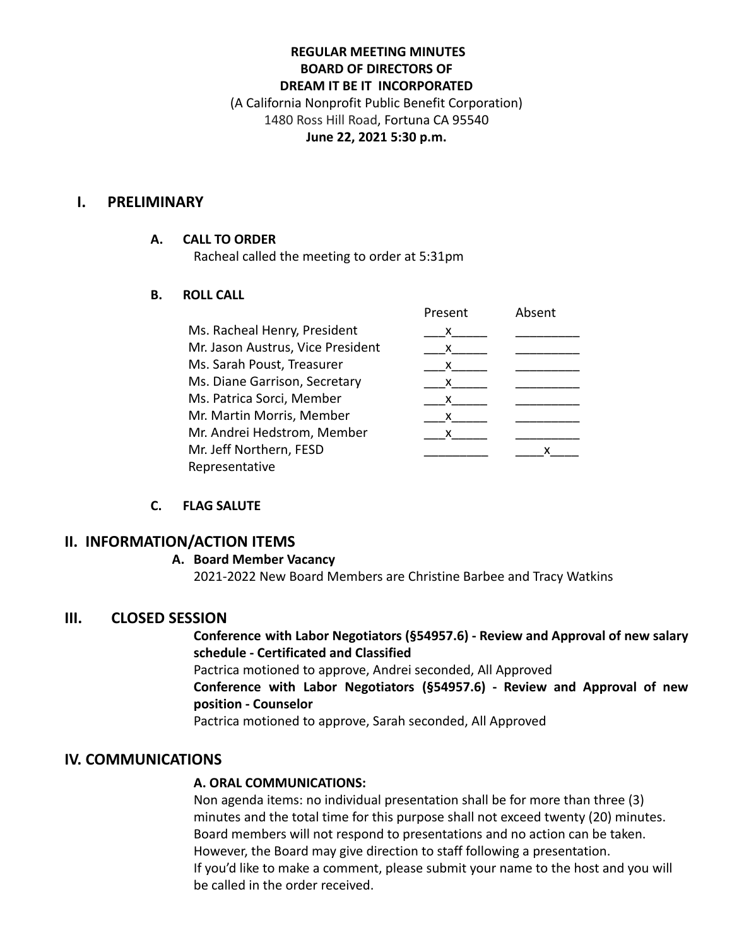## **REGULAR MEETING MINUTES BOARD OF DIRECTORS OF DREAM IT BE IT INCORPORATED**

(A California Nonprofit Public Benefit Corporation) 1480 Ross Hill Road, Fortuna CA 95540 **June 22, 2021 5:30 p.m.**

#### **I. PRELIMINARY**

#### **A. CALL TO ORDER**

Racheal called the meeting to order at 5:31pm

### **B. ROLL CALL**

|                                   | Present | Absent |
|-----------------------------------|---------|--------|
| Ms. Racheal Henry, President      | x       |        |
| Mr. Jason Austrus, Vice President | x       |        |
| Ms. Sarah Poust, Treasurer        | x       |        |
| Ms. Diane Garrison, Secretary     | x.      |        |
| Ms. Patrica Sorci, Member         | x       |        |
| Mr. Martin Morris, Member         | x       |        |
| Mr. Andrei Hedstrom, Member       |         |        |
| Mr. Jeff Northern, FESD           |         |        |
| Representative                    |         |        |

### **C. FLAG SALUTE**

### **II. INFORMATION/ACTION ITEMS**

#### **A. Board Member Vacancy**

2021-2022 New Board Members are Christine Barbee and Tracy Watkins

### **III. CLOSED SESSION**

### **Conference with Labor Negotiators (§54957.6) - Review and Approval of new salary schedule - Certificated and Classified**

Pactrica motioned to approve, Andrei seconded, All Approved

**Conference with Labor Negotiators (§54957.6) - Review and Approval of new position - Counselor**

Pactrica motioned to approve, Sarah seconded, All Approved

# **IV. COMMUNICATIONS**

### **A. ORAL COMMUNICATIONS:**

Non agenda items: no individual presentation shall be for more than three (3) minutes and the total time for this purpose shall not exceed twenty (20) minutes. Board members will not respond to presentations and no action can be taken. However, the Board may give direction to staff following a presentation. If you'd like to make a comment, please submit your name to the host and you will be called in the order received.